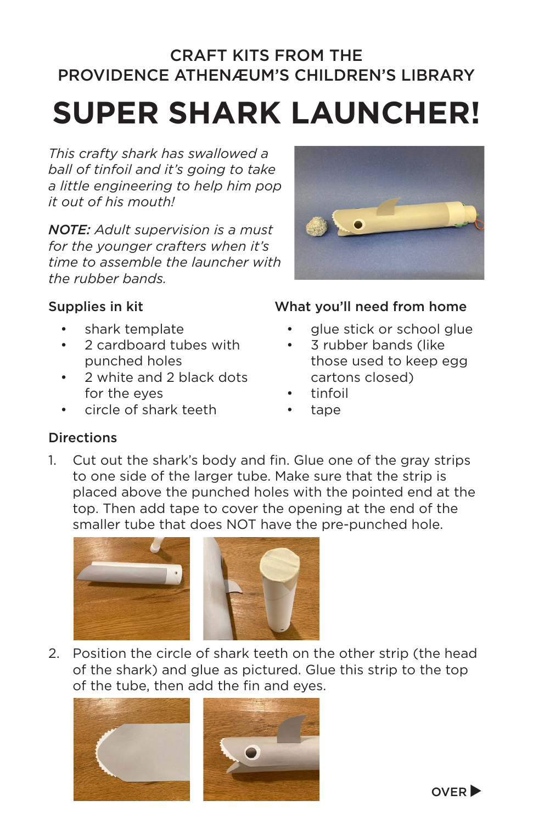## CRAFT KITS FROM THE PROVIDENCE ATHENÆUM'S CHILDREN'S LIBRARY

# **SUPER SHARK LAUNCHER!**

*This crafty shark has swallowed a ball of tinfoil and it's going to take a little engineering to help him pop it out of his mouth!* 

*NOTE: Adult supervision is a must for the younger crafters when it's time to assemble the launcher with the rubber bands.* 



#### Supplies in kit

- shark template
- 2 cardboard tubes with punched holes
- 2 white and 2 black dots for the eyes
- circle of shark teeth

#### What you'll need from home

- glue stick or school glue
- 3 rubber bands (like those used to keep egg cartons closed)
- tinfoil
- tape

### **Directions**

1. Cut out the shark's body and fin. Glue one of the gray strips to one side of the larger tube. Make sure that the strip is placed above the punched holes with the pointed end at the top. Then add tape to cover the opening at the end of the smaller tube that does NOT have the pre-punched hole.



2. Position the circle of shark teeth on the other strip (the head of the shark) and glue as pictured. Glue this strip to the top of the tube, then add the fin and eyes.